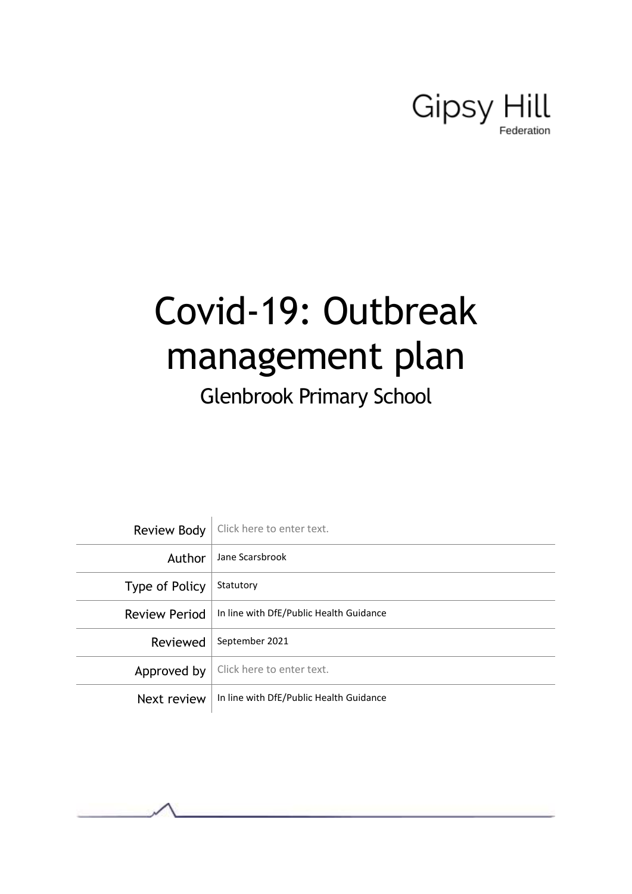# Gipsy Hill

# Covid-19: Outbreak management plan

# Glenbrook Primary School

|                      | Review Body   Click here to enter text. |
|----------------------|-----------------------------------------|
| Author               | Jane Scarsbrook                         |
| Type of Policy       | Statutory                               |
| <b>Review Period</b> | In line with DfE/Public Health Guidance |
| Reviewed             | September 2021                          |
| Approved by          | Click here to enter text.               |
| Next review          | In line with DfE/Public Health Guidance |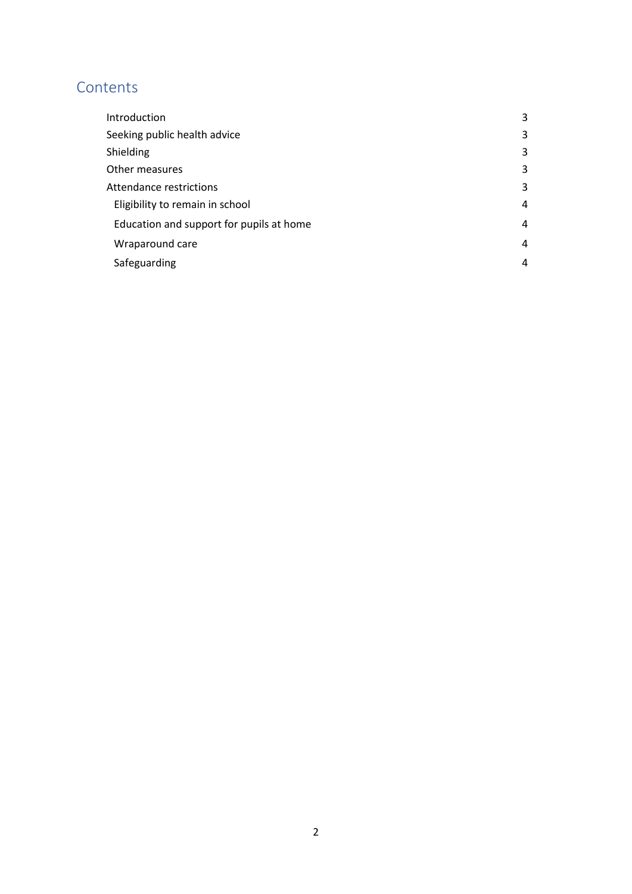# **Contents**

| Introduction                             | 3 |
|------------------------------------------|---|
| Seeking public health advice             | 3 |
| Shielding                                | 3 |
| Other measures                           | 3 |
| Attendance restrictions                  | 3 |
| Eligibility to remain in school          | 4 |
| Education and support for pupils at home | 4 |
| Wraparound care                          | 4 |
| Safeguarding                             | 4 |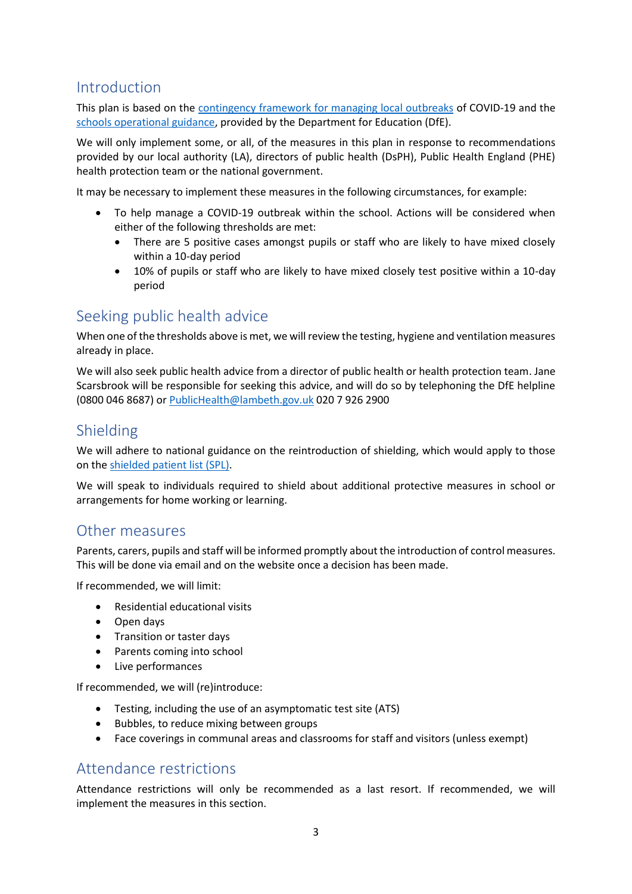# <span id="page-2-0"></span>Introduction

This plan is based on the [contingency framework for managing local outbreaks](https://www.gov.uk/government/publications/coronavirus-covid-19-local-restrictions-in-education-and-childcare-settings) of COVID-19 and the [schools operational guidance,](https://www.gov.uk/government/publications/actions-for-schools-during-the-coronavirus-outbreak) provided by the Department for Education (DfE).

We will only implement some, or all, of the measures in this plan in response to recommendations provided by our local authority (LA), directors of public health (DsPH), Public Health England (PHE) health protection team or the national government.

It may be necessary to implement these measures in the following circumstances, for example:

- To help manage a COVID-19 outbreak within the school. Actions will be considered when either of the following thresholds are met:
	- There are 5 positive cases amongst pupils or staff who are likely to have mixed closely within a 10-day period
	- 10% of pupils or staff who are likely to have mixed closely test positive within a 10-day period

### <span id="page-2-1"></span>Seeking public health advice

When one of the thresholds above is met, we will review the testing, hygiene and ventilation measures already in place.

We will also seek public health advice from a director of public health or health protection team. Jane Scarsbrook will be responsible for seeking this advice, and will do so by telephoning the DfE helpline (0800 046 8687) or [PublicHealth@lambeth.gov.uk](mailto:PublicHealth@lambeth.gov.uk) 020 7 926 2900

## <span id="page-2-2"></span>Shielding

We will adhere to national guidance on the reintroduction of shielding, which would apply to those on th[e shielded patient list \(SPL\).](https://digital.nhs.uk/coronavirus/shielded-patient-list)

We will speak to individuals required to shield about additional protective measures in school or arrangements for home working or learning.

### <span id="page-2-3"></span>Other measures

Parents, carers, pupils and staff will be informed promptly about the introduction of control measures. This will be done via email and on the website once a decision has been made.

If recommended, we will limit:

- Residential educational visits
- Open days
- Transition or taster days
- Parents coming into school
- Live performances

If recommended, we will (re)introduce:

- Testing, including the use of an asymptomatic test site (ATS)
- Bubbles, to reduce mixing between groups
- Face coverings in communal areas and classrooms for staff and visitors (unless exempt)

### <span id="page-2-4"></span>Attendance restrictions

Attendance restrictions will only be recommended as a last resort. If recommended, we will implement the measures in this section.